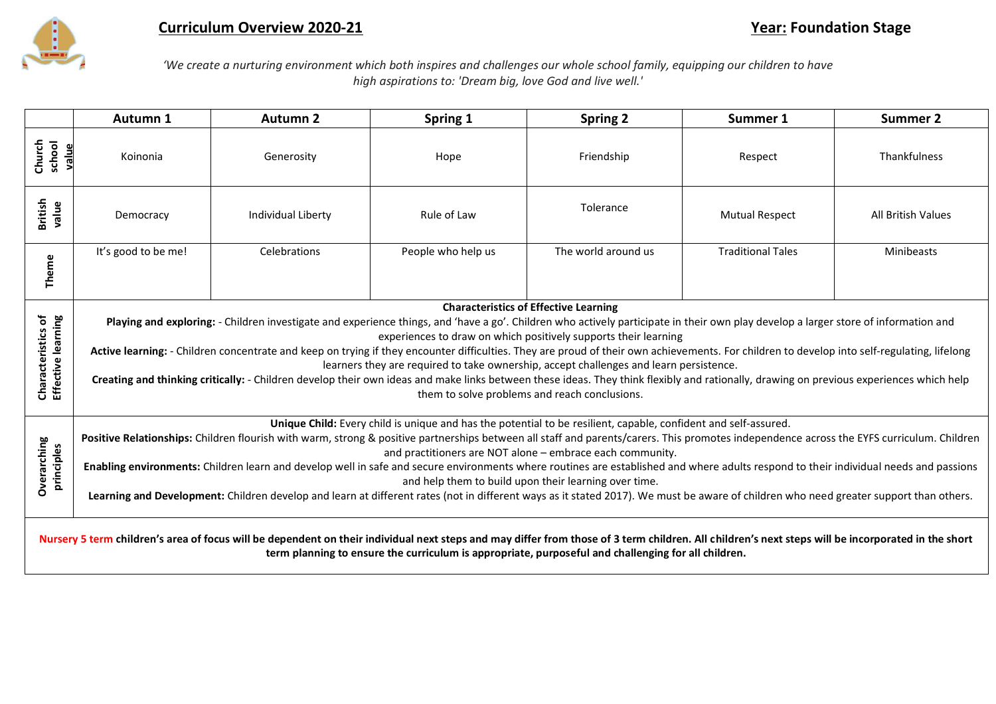

## **Curriculum Overview 2020-21 Year: Foundation Stage**

*'We create a nurturing environment which both inspires and challenges our whole school family, equipping our children to have high aspirations to: 'Dream big, love God and live well.'*

|                                                                                                                                                                                                                                                                                                           | Autumn 1                                                                                                                                                                                                                                                                                                                                                                                                                                                                                                                                                                                                                                                                                                                                                                                                                                    | <b>Autumn 2</b>    | Spring 1    | <b>Spring 2</b> | Summer 1              | <b>Summer 2</b>           |  |  |  |  |  |
|-----------------------------------------------------------------------------------------------------------------------------------------------------------------------------------------------------------------------------------------------------------------------------------------------------------|---------------------------------------------------------------------------------------------------------------------------------------------------------------------------------------------------------------------------------------------------------------------------------------------------------------------------------------------------------------------------------------------------------------------------------------------------------------------------------------------------------------------------------------------------------------------------------------------------------------------------------------------------------------------------------------------------------------------------------------------------------------------------------------------------------------------------------------------|--------------------|-------------|-----------------|-----------------------|---------------------------|--|--|--|--|--|
| school<br>value<br>Church                                                                                                                                                                                                                                                                                 | Koinonia                                                                                                                                                                                                                                                                                                                                                                                                                                                                                                                                                                                                                                                                                                                                                                                                                                    | Generosity         | Hope        | Friendship      | Respect               | Thankfulness              |  |  |  |  |  |
| <b>British</b><br>value                                                                                                                                                                                                                                                                                   | Democracy                                                                                                                                                                                                                                                                                                                                                                                                                                                                                                                                                                                                                                                                                                                                                                                                                                   | Individual Liberty | Rule of Law | Tolerance       | <b>Mutual Respect</b> | <b>All British Values</b> |  |  |  |  |  |
| Theme                                                                                                                                                                                                                                                                                                     | The world around us<br>It's good to be me!<br>Celebrations<br>People who help us<br><b>Traditional Tales</b><br>Minibeasts                                                                                                                                                                                                                                                                                                                                                                                                                                                                                                                                                                                                                                                                                                                  |                    |             |                 |                       |                           |  |  |  |  |  |
| Effective learning<br>Characteristics of                                                                                                                                                                                                                                                                  | <b>Characteristics of Effective Learning</b><br>Playing and exploring: - Children investigate and experience things, and 'have a go'. Children who actively participate in their own play develop a larger store of information and<br>experiences to draw on which positively supports their learning<br>Active learning: - Children concentrate and keep on trying if they encounter difficulties. They are proud of their own achievements. For children to develop into self-regulating, lifelong<br>learners they are required to take ownership, accept challenges and learn persistence.<br>Creating and thinking critically: - Children develop their own ideas and make links between these ideas. They think flexibly and rationally, drawing on previous experiences which help<br>them to solve problems and reach conclusions. |                    |             |                 |                       |                           |  |  |  |  |  |
| <b>Overarching</b><br>principles                                                                                                                                                                                                                                                                          | Unique Child: Every child is unique and has the potential to be resilient, capable, confident and self-assured.<br>Positive Relationships: Children flourish with warm, strong & positive partnerships between all staff and parents/carers. This promotes independence across the EYFS curriculum. Children<br>and practitioners are NOT alone - embrace each community.<br>Enabling environments: Children learn and develop well in safe and secure environments where routines are established and where adults respond to their individual needs and passions<br>and help them to build upon their learning over time.<br>Learning and Development: Children develop and learn at different rates (not in different ways as it stated 2017). We must be aware of children who need greater support than others.                        |                    |             |                 |                       |                           |  |  |  |  |  |
| Nursery 5 term children's area of focus will be dependent on their individual next steps and may differ from those of 3 term children. All children's next steps will be incorporated in the short<br>term planning to ensure the curriculum is appropriate, purposeful and challenging for all children. |                                                                                                                                                                                                                                                                                                                                                                                                                                                                                                                                                                                                                                                                                                                                                                                                                                             |                    |             |                 |                       |                           |  |  |  |  |  |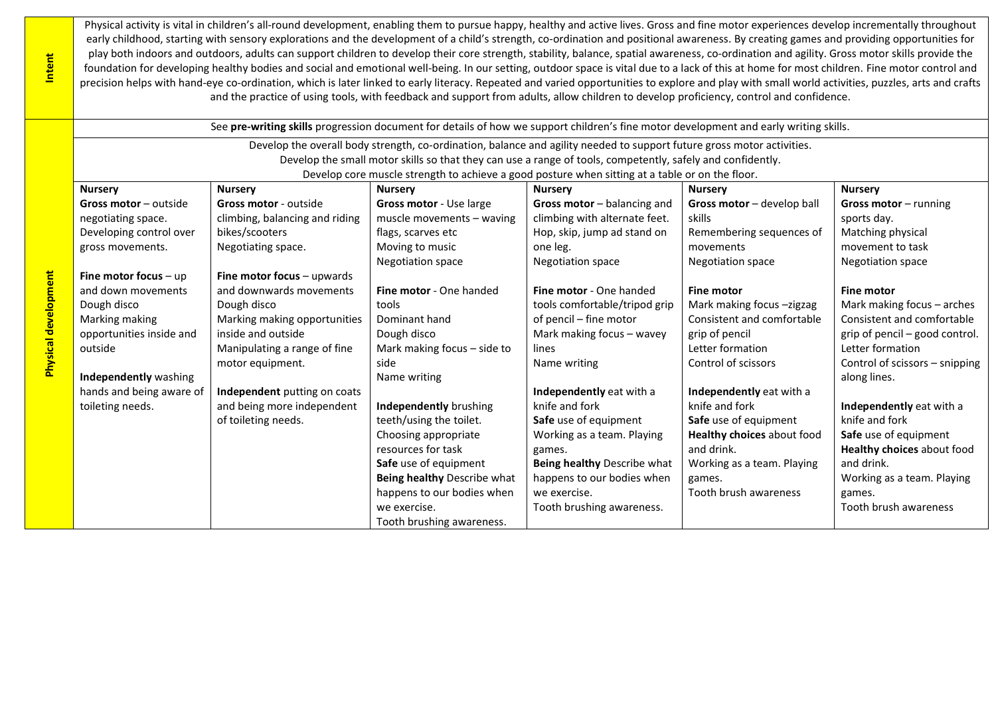Physical activity is vital in children's all-round development, enabling them to pursue happy, healthy and active lives. Gross and fine motor experiences develop incrementally throughout early childhood, starting with sensory explorations and the development of a child's strength, co-ordination and positional awareness. By creating games and providing opportunities for play both indoors and outdoors, adults can support children to develop their core strength, stability, balance, spatial awareness, co-ordination and agility. Gross motor skills provide the foundation for developing healthy bodies and social and emotional well-being. In our setting, outdoor space is vital due to a lack of this at home for most children. Fine motor control and precision helps with hand-eye co-ordination, which is later linked to early literacy. Repeated and varied opportunities to explore and play with small world activities, puzzles, arts and crafts and the practice of using tools, with feedback and support from adults, allow children to develop proficiency, control and confidence.

|                             | See pre-writing skills progression document for details of how we support children's fine motor development and early writing skills. |                                                                                                            |                             |                                |                            |                                |  |  |  |  |
|-----------------------------|---------------------------------------------------------------------------------------------------------------------------------------|------------------------------------------------------------------------------------------------------------|-----------------------------|--------------------------------|----------------------------|--------------------------------|--|--|--|--|
|                             | Develop the overall body strength, co-ordination, balance and agility needed to support future gross motor activities.                |                                                                                                            |                             |                                |                            |                                |  |  |  |  |
|                             |                                                                                                                                       | Develop the small motor skills so that they can use a range of tools, competently, safely and confidently. |                             |                                |                            |                                |  |  |  |  |
|                             | Develop core muscle strength to achieve a good posture when sitting at a table or on the floor.                                       |                                                                                                            |                             |                                |                            |                                |  |  |  |  |
|                             | <b>Nursery</b>                                                                                                                        | <b>Nursery</b>                                                                                             | <b>Nursery</b>              | <b>Nursery</b>                 | <b>Nursery</b>             | <b>Nursery</b>                 |  |  |  |  |
|                             | Gross motor - outside                                                                                                                 | Gross motor - outside                                                                                      | Gross motor - Use large     | Gross motor - balancing and    | Gross motor - develop ball | Gross motor $-$ running        |  |  |  |  |
|                             | negotiating space.                                                                                                                    | climbing, balancing and riding                                                                             | muscle movements - waving   | climbing with alternate feet.  | skills                     | sports day.                    |  |  |  |  |
|                             | Developing control over                                                                                                               | bikes/scooters                                                                                             | flags, scarves etc          | Hop, skip, jump ad stand on    | Remembering sequences of   | Matching physical              |  |  |  |  |
|                             | gross movements.                                                                                                                      | Negotiating space.                                                                                         | Moving to music             | one leg.                       | movements                  | movement to task               |  |  |  |  |
|                             |                                                                                                                                       |                                                                                                            | Negotiation space           | <b>Negotiation space</b>       | Negotiation space          | <b>Negotiation space</b>       |  |  |  |  |
|                             | Fine motor focus - upwards<br>Fine motor focus $-$ up                                                                                 |                                                                                                            |                             |                                |                            |                                |  |  |  |  |
|                             | and down movements                                                                                                                    | and downwards movements                                                                                    |                             | <b>Fine motor</b> - One handed | <b>Fine motor</b>          | <b>Fine motor</b>              |  |  |  |  |
|                             | Dough disco                                                                                                                           | Dough disco                                                                                                | tools                       | tools comfortable/tripod grip  | Mark making focus -zigzag  | Mark making focus - arches     |  |  |  |  |
|                             | Marking making                                                                                                                        | Marking making opportunities                                                                               | Dominant hand               | of pencil - fine motor         | Consistent and comfortable | Consistent and comfortable     |  |  |  |  |
|                             | opportunities inside and                                                                                                              | inside and outside                                                                                         | Dough disco                 | Mark making focus - wavey      | grip of pencil             | grip of pencil - good control. |  |  |  |  |
| <b>Physical development</b> | outside                                                                                                                               | Manipulating a range of fine                                                                               | Mark making focus - side to | lines                          | Letter formation           | Letter formation               |  |  |  |  |
|                             |                                                                                                                                       | motor equipment.                                                                                           | side                        | Name writing                   | Control of scissors        | Control of scissors - snipping |  |  |  |  |
|                             | <b>Independently</b> washing                                                                                                          |                                                                                                            | Name writing                |                                |                            | along lines.                   |  |  |  |  |
|                             | hands and being aware of                                                                                                              | Independent putting on coats                                                                               |                             | Independently eat with a       | Independently eat with a   |                                |  |  |  |  |
|                             | toileting needs.                                                                                                                      | and being more independent                                                                                 | Independently brushing      | knife and fork                 | knife and fork             | Independently eat with a       |  |  |  |  |
|                             |                                                                                                                                       | of toileting needs.                                                                                        | teeth/using the toilet.     | Safe use of equipment          | Safe use of equipment      | knife and fork                 |  |  |  |  |
|                             |                                                                                                                                       |                                                                                                            | Choosing appropriate        | Working as a team. Playing     | Healthy choices about food | Safe use of equipment          |  |  |  |  |
|                             |                                                                                                                                       |                                                                                                            | resources for task          | games.                         | and drink.                 | Healthy choices about food     |  |  |  |  |
|                             |                                                                                                                                       |                                                                                                            | Safe use of equipment       | Being healthy Describe what    | Working as a team. Playing | and drink.                     |  |  |  |  |
|                             |                                                                                                                                       |                                                                                                            | Being healthy Describe what | happens to our bodies when     | games.                     | Working as a team. Playing     |  |  |  |  |
|                             |                                                                                                                                       |                                                                                                            | happens to our bodies when  | we exercise.                   | Tooth brush awareness      | games.                         |  |  |  |  |
|                             |                                                                                                                                       |                                                                                                            | we exercise.                | Tooth brushing awareness.      |                            | Tooth brush awareness          |  |  |  |  |
|                             |                                                                                                                                       |                                                                                                            | Tooth brushing awareness.   |                                |                            |                                |  |  |  |  |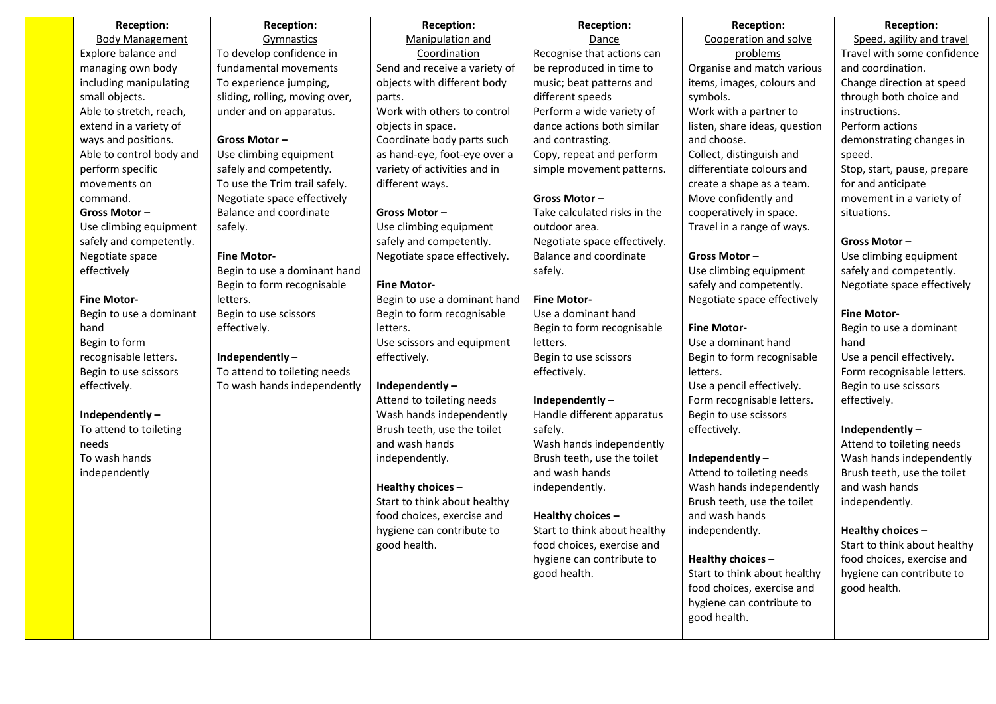| Reception:<br><b>Reception:</b> |                                | <b>Reception:</b>             | Reception:                   | Reception:                    | Reception:                   |
|---------------------------------|--------------------------------|-------------------------------|------------------------------|-------------------------------|------------------------------|
| <b>Body Management</b>          | Gymnastics                     | Manipulation and              | Dance                        | Cooperation and solve         | Speed, agility and travel    |
| Explore balance and             | To develop confidence in       | Coordination                  | Recognise that actions can   | problems                      | Travel with some confidence  |
| managing own body               | fundamental movements          | Send and receive a variety of | be reproduced in time to     | Organise and match various    | and coordination.            |
| including manipulating          | To experience jumping,         | objects with different body   | music; beat patterns and     | items, images, colours and    | Change direction at speed    |
| small objects.                  | sliding, rolling, moving over, | parts.                        | different speeds             | symbols.                      | through both choice and      |
| Able to stretch, reach,         | under and on apparatus.        | Work with others to control   | Perform a wide variety of    | Work with a partner to        | instructions.                |
| extend in a variety of          |                                | objects in space.             | dance actions both similar   | listen, share ideas, question | Perform actions              |
| ways and positions.             | Gross Motor-                   | Coordinate body parts such    | and contrasting.             | and choose.                   | demonstrating changes in     |
| Able to control body and        | Use climbing equipment         | as hand-eye, foot-eye over a  | Copy, repeat and perform     | Collect, distinguish and      | speed.                       |
| perform specific                | safely and competently.        | variety of activities and in  | simple movement patterns.    | differentiate colours and     | Stop, start, pause, prepare  |
| movements on                    | To use the Trim trail safely.  | different ways.               |                              | create a shape as a team.     | for and anticipate           |
| command.                        | Negotiate space effectively    |                               | Gross Motor-                 | Move confidently and          | movement in a variety of     |
| Gross Motor-                    | <b>Balance and coordinate</b>  | Gross Motor-                  | Take calculated risks in the | cooperatively in space.       | situations.                  |
| Use climbing equipment          | safely.                        | Use climbing equipment        | outdoor area.                | Travel in a range of ways.    |                              |
| safely and competently.         |                                | safely and competently.       | Negotiate space effectively. |                               | Gross Motor-                 |
| Negotiate space                 | <b>Fine Motor-</b>             | Negotiate space effectively.  | Balance and coordinate       | Gross Motor-                  | Use climbing equipment       |
| effectively                     | Begin to use a dominant hand   |                               | safely.                      | Use climbing equipment        | safely and competently.      |
|                                 | Begin to form recognisable     | <b>Fine Motor-</b>            |                              | safely and competently.       | Negotiate space effectively  |
| <b>Fine Motor-</b>              | letters.                       | Begin to use a dominant hand  | <b>Fine Motor-</b>           | Negotiate space effectively   |                              |
| Begin to use a dominant         | Begin to use scissors          | Begin to form recognisable    | Use a dominant hand          |                               | <b>Fine Motor-</b>           |
| hand                            | effectively.                   | letters.                      | Begin to form recognisable   | <b>Fine Motor-</b>            | Begin to use a dominant      |
| Begin to form                   |                                | Use scissors and equipment    | letters.                     | Use a dominant hand           | hand                         |
| recognisable letters.           | Independently-                 | effectively.                  | Begin to use scissors        | Begin to form recognisable    | Use a pencil effectively.    |
| Begin to use scissors           | To attend to toileting needs   |                               | effectively.                 | letters.                      | Form recognisable letters.   |
| effectively.                    | To wash hands independently    | Independently-                |                              | Use a pencil effectively.     | Begin to use scissors        |
|                                 |                                | Attend to toileting needs     | Independently-               | Form recognisable letters.    | effectively.                 |
| Independently-                  |                                | Wash hands independently      | Handle different apparatus   | Begin to use scissors         |                              |
| To attend to toileting          |                                | Brush teeth, use the toilet   | safely.                      | effectively.                  | Independently-               |
| needs                           |                                | and wash hands                | Wash hands independently     |                               | Attend to toileting needs    |
| To wash hands                   |                                | independently.                | Brush teeth, use the toilet  | Independently-                | Wash hands independently     |
| independently                   |                                |                               | and wash hands               | Attend to toileting needs     | Brush teeth, use the toilet  |
|                                 |                                | Healthy choices -             | independently.               | Wash hands independently      | and wash hands               |
|                                 |                                | Start to think about healthy  |                              | Brush teeth, use the toilet   | independently.               |
|                                 |                                | food choices, exercise and    | Healthy choices -            | and wash hands                |                              |
|                                 |                                | hygiene can contribute to     | Start to think about healthy | independently.                | Healthy choices -            |
|                                 |                                | good health.                  | food choices, exercise and   |                               | Start to think about healthy |
|                                 |                                |                               | hygiene can contribute to    | Healthy choices -             | food choices, exercise and   |
|                                 |                                |                               | good health.                 | Start to think about healthy  | hygiene can contribute to    |
|                                 |                                |                               |                              | food choices, exercise and    | good health.                 |
|                                 |                                |                               |                              | hygiene can contribute to     |                              |
|                                 |                                |                               |                              | good health.                  |                              |
|                                 |                                |                               |                              |                               |                              |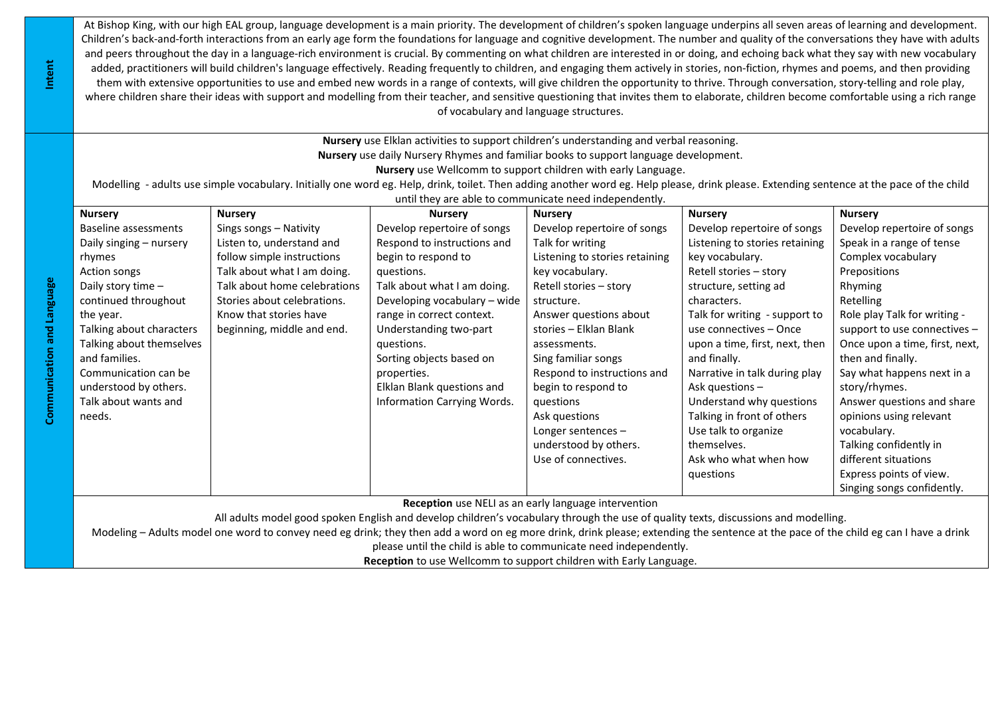At Bishop King, with our high EAL group, language development is a main priority. The development of children's spoken language underpins all seven areas of learning and development. Children's back-and-forth interactions from an early age form the foundations for language and cognitive development. The number and quality of the conversations they have with adults and peers throughout the day in a language-rich environment is crucial. By commenting on what children are interested in or doing, and echoing back what they say with new vocabulary added, practitioners will build children's language effectively. Reading frequently to children, and engaging them actively in stories, non-fiction, rhymes and poems, and then providing them with extensive opportunities to use and embed new words in a range of contexts, will give children the opportunity to thrive. Through conversation, story-telling and role play, where children share their ideas with support and modelling from their teacher, and sensitive questioning that invites them to elaborate, children become comfortable using a rich range of vocabulary and language structures.

> **Nursery** use Elklan activities to support children's understanding and verbal reasoning. **Nursery** use daily Nursery Rhymes and familiar books to support language development. **Nursery** use Wellcomm to support children with early Language.

Modelling - adults use simple vocabulary. Initially one word eg. Help, drink, toilet. Then adding another word eg. Help please, drink please. Extending sentence at the pace of the child until they are able to communicate need independently.

| <b>Nursery</b>           | <b>Nursery</b>               | <b>Nursery</b>               | <b>Nursery</b>                                     | <b>Nursery</b>                 | <b>Nursery</b>                 |
|--------------------------|------------------------------|------------------------------|----------------------------------------------------|--------------------------------|--------------------------------|
| Baseline assessments     | Sings songs - Nativity       | Develop repertoire of songs  | Develop repertoire of songs                        | Develop repertoire of songs    | Develop repertoire of songs    |
| Daily singing - nursery  | Listen to, understand and    | Respond to instructions and  | Talk for writing                                   | Listening to stories retaining | Speak in a range of tense      |
| rhymes                   | follow simple instructions   | begin to respond to          | Listening to stories retaining                     | key vocabulary.                | Complex vocabulary             |
| Action songs             | Talk about what I am doing.  | questions.                   | key vocabulary.                                    | Retell stories - story         | Prepositions                   |
| Daily story time $-$     | Talk about home celebrations | Talk about what I am doing.  | Retell stories - story                             | structure, setting ad          | Rhyming                        |
| continued throughout     | Stories about celebrations.  | Developing vocabulary - wide | structure.                                         | characters.                    | Retelling                      |
| the year.                | Know that stories have       | range in correct context.    | Answer questions about                             | Talk for writing - support to  | Role play Talk for writing -   |
| Talking about characters | beginning, middle and end.   | Understanding two-part       | stories - Elklan Blank                             | use connectives - Once         | support to use connectives -   |
| Talking about themselves |                              | questions.                   | assessments.                                       | upon a time, first, next, then | Once upon a time, first, next, |
| and families.            |                              | Sorting objects based on     | Sing familiar songs                                | and finally.                   | then and finally.              |
| Communication can be     |                              | properties.                  | Respond to instructions and                        | Narrative in talk during play  | Say what happens next in a     |
| understood by others.    |                              | Elklan Blank questions and   | begin to respond to                                | Ask questions $-$              | story/rhymes.                  |
| Talk about wants and     |                              | Information Carrying Words.  | questions                                          | Understand why questions       | Answer questions and share     |
| needs.                   |                              |                              | Ask questions                                      | Talking in front of others     | opinions using relevant        |
|                          |                              |                              | Longer sentences $-$                               | Use talk to organize           | vocabulary.                    |
|                          |                              |                              | understood by others.                              | themselves.                    | Talking confidently in         |
|                          |                              |                              | Use of connectives.                                | Ask who what when how          | different situations           |
|                          |                              |                              |                                                    | questions                      | Express points of view.        |
|                          |                              |                              |                                                    |                                | Singing songs confidently.     |
|                          |                              |                              | Beechten use NEU es en seulu leneuses intenuentian |                                |                                |

**Reception** use NELI as an early language intervention

All adults model good spoken English and develop children's vocabulary through the use of quality texts, discussions and modelling.

Modeling – Adults model one word to convey need eg drink; they then add a word on eg more drink, drink please; extending the sentence at the pace of the child eg can I have a drink

please until the child is able to communicate need independently.

**Reception** to use Wellcomm to support children with Early Language.

**Intent**

**Communication and Language**

Communication and Language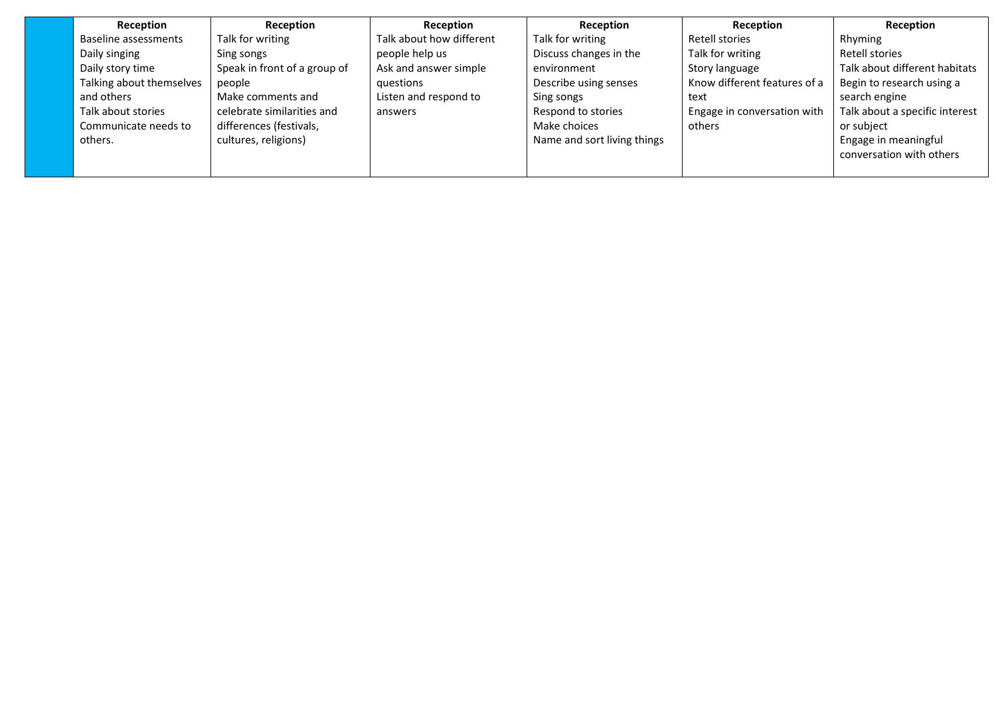| Reception                | Reception                    | Reception                | Reception                   | Reception                    | Reception                      |
|--------------------------|------------------------------|--------------------------|-----------------------------|------------------------------|--------------------------------|
| Baseline assessments     | Talk for writing             | Talk about how different | Talk for writing            | Retell stories               | Rhyming                        |
| Daily singing            | Sing songs                   | people help us           | Discuss changes in the      | Talk for writing             | Retell stories                 |
| Daily story time         | Speak in front of a group of | Ask and answer simple    | environment                 | Story language               | Talk about different habitats  |
| Talking about themselves | people                       | auestions                | Describe using senses       | Know different features of a | Begin to research using a      |
| and others               | Make comments and            | Listen and respond to    | Sing songs                  | text                         | search engine                  |
| Talk about stories       | celebrate similarities and   | answers                  | Respond to stories          | Engage in conversation with  | Talk about a specific interest |
| Communicate needs to     | differences (festivals,      |                          | Make choices                | others                       | or subject                     |
| others.                  | cultures, religions)         |                          | Name and sort living things |                              | Engage in meaningful           |
|                          |                              |                          |                             |                              | conversation with others       |
|                          |                              |                          |                             |                              |                                |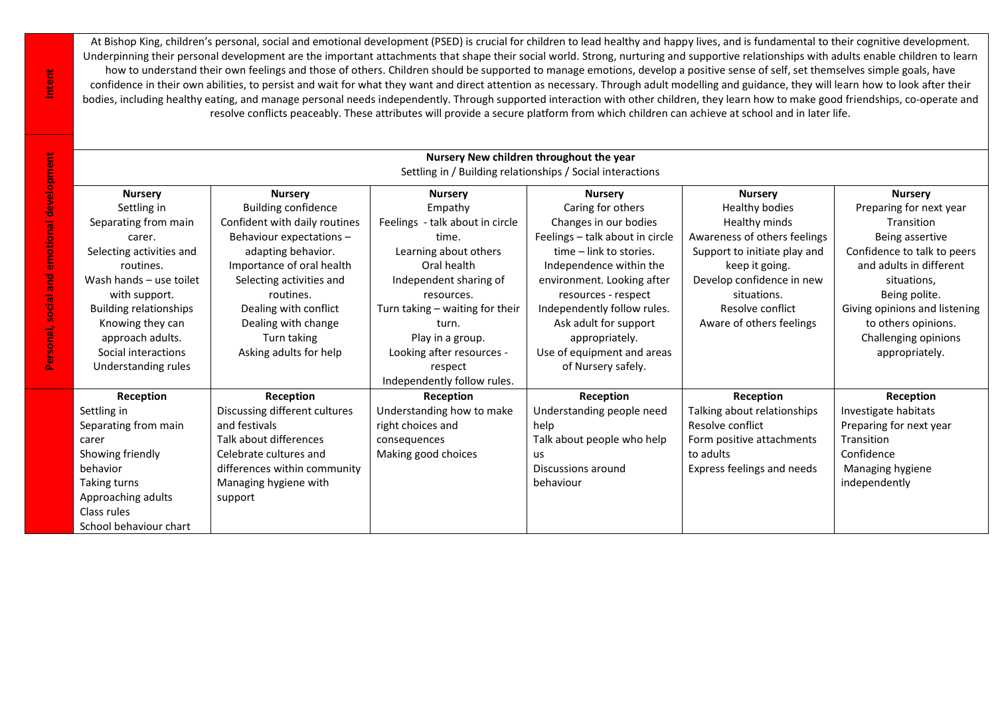At Bishop King, children's personal, social and emotional development (PSED) is crucial for children to lead healthy and happy lives, and is fundamental to their cognitive development. Underpinning their personal development are the important attachments that shape their social world. Strong, nurturing and supportive relationships with adults enable children to learn how to understand their own feelings and those of others. Children should be supported to manage emotions, develop a positive sense of self, set themselves simple goals, have confidence in their own abilities, to persist and wait for what they want and direct attention as necessary. Through adult modelling and guidance, they will learn how to look after their bodies, including healthy eating, and manage personal needs independently. Through supported interaction with other children, they learn how to make good friendships, co-operate and resolve conflicts peaceably. These attributes will provide a secure platform from which children can achieve at school and in later life.

| Nursery New children throughout the year<br>Settling in / Building relationships / Social interactions   |                               |                                    |                                 |                              |                               |  |  |  |  |
|----------------------------------------------------------------------------------------------------------|-------------------------------|------------------------------------|---------------------------------|------------------------------|-------------------------------|--|--|--|--|
| <b>Nursery</b><br><b>Nursery</b><br><b>Nursery</b><br><b>Nursery</b><br><b>Nursery</b><br><b>Nursery</b> |                               |                                    |                                 |                              |                               |  |  |  |  |
| Settling in                                                                                              | <b>Building confidence</b>    | Empathy                            | Caring for others               | Healthy bodies               | Preparing for next year       |  |  |  |  |
| Separating from main                                                                                     | Confident with daily routines | - talk about in circle<br>Feelings | Changes in our bodies           | Healthy minds                | Transition                    |  |  |  |  |
| carer.                                                                                                   | Behaviour expectations -      | time.                              | Feelings - talk about in circle | Awareness of others feelings | Being assertive               |  |  |  |  |
| Selecting activities and                                                                                 | adapting behavior.            | Learning about others              | time - link to stories.         | Support to initiate play and | Confidence to talk to peers   |  |  |  |  |
| routines.                                                                                                | Importance of oral health     | Oral health                        | Independence within the         | keep it going.               | and adults in different       |  |  |  |  |
| Wash hands - use toilet                                                                                  | Selecting activities and      | Independent sharing of             | environment. Looking after      | Develop confidence in new    | situations,                   |  |  |  |  |
| with support.                                                                                            | routines.                     | resources.                         | resources - respect             | situations.                  | Being polite.                 |  |  |  |  |
| <b>Building relationships</b>                                                                            | Dealing with conflict         | Turn taking - waiting for their    | Independently follow rules.     | Resolve conflict             | Giving opinions and listening |  |  |  |  |
| Knowing they can                                                                                         | Dealing with change           | turn.                              | Ask adult for support           | Aware of others feelings     | to others opinions.           |  |  |  |  |
| approach adults.                                                                                         | Turn taking                   | Play in a group.                   | appropriately.                  |                              | Challenging opinions          |  |  |  |  |
| Social interactions                                                                                      | Asking adults for help        | Looking after resources -          | Use of equipment and areas      |                              | appropriately.                |  |  |  |  |
| Understanding rules                                                                                      |                               | respect                            | of Nursery safely.              |                              |                               |  |  |  |  |
|                                                                                                          |                               | Independently follow rules.        |                                 |                              |                               |  |  |  |  |
| Reception                                                                                                | Reception                     | Reception                          | Reception                       | Reception                    | Reception                     |  |  |  |  |
| Settling in                                                                                              | Discussing different cultures | Understanding how to make          | Understanding people need       | Talking about relationships  | Investigate habitats          |  |  |  |  |
| Separating from main                                                                                     | and festivals                 | right choices and                  | help                            | Resolve conflict             | Preparing for next year       |  |  |  |  |
| carer                                                                                                    | Talk about differences        | consequences                       | Talk about people who help      | Form positive attachments    | Transition                    |  |  |  |  |
| Showing friendly                                                                                         | Celebrate cultures and        | Making good choices                | us                              | to adults                    | Confidence                    |  |  |  |  |
| behavior<br>differences within community                                                                 |                               |                                    | Discussions around              | Express feelings and needs   | Managing hygiene              |  |  |  |  |
| Taking turns<br>Managing hygiene with                                                                    |                               |                                    | behaviour                       |                              | independently                 |  |  |  |  |
| Approaching adults                                                                                       | support                       |                                    |                                 |                              |                               |  |  |  |  |
| Class rules                                                                                              |                               |                                    |                                 |                              |                               |  |  |  |  |
| School behaviour chart                                                                                   |                               |                                    |                                 |                              |                               |  |  |  |  |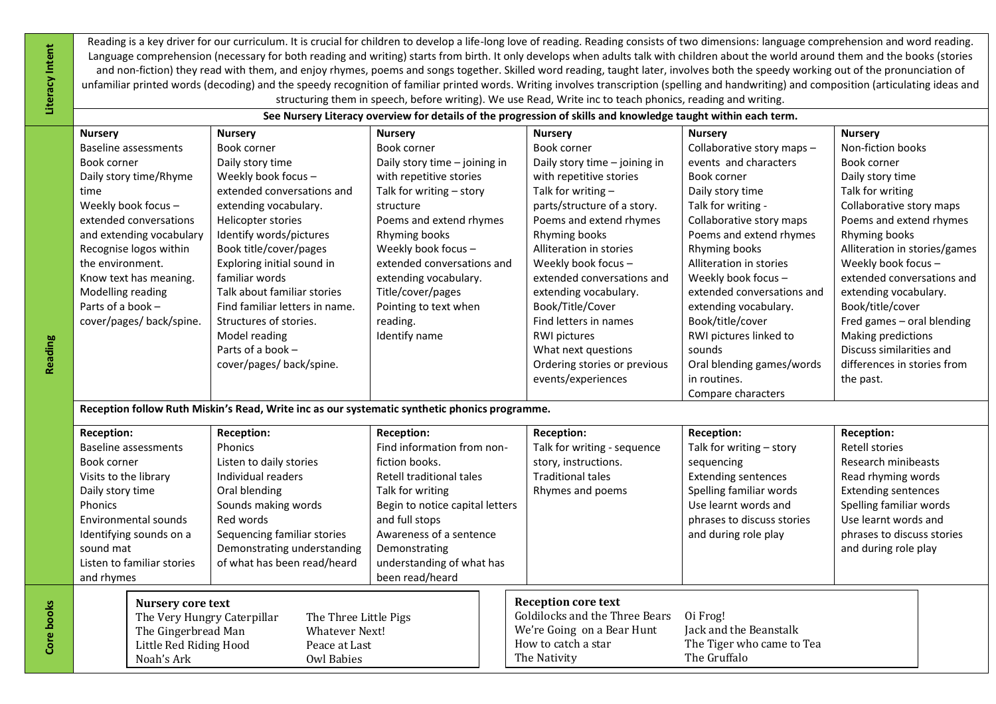Reading is a key driver for our curriculum. It is crucial for children to develop a life-long love of reading. Reading consists of two dimensions: language comprehension and word reading. Language comprehension (necessary for both reading and writing) starts from birth. It only develops when adults talk with children about the world around them and the books (stories and non-fiction) they read with them, and enjoy rhymes, poems and songs together. Skilled word reading, taught later, involves both the speedy working out of the pronunciation of unfamiliar printed words (decoding) and the speedy recognition of familiar printed words. Writing involves transcription (spelling and handwriting) and composition (articulating ideas and structuring them in speech, before writing). We use Read, Write inc to teach phonics, reading and writing.

|                                                        | See Nursery Literacy overview for details of the progression of skills and knowledge taught within each term. |                                 |                               |                            |                               |  |  |  |  |
|--------------------------------------------------------|---------------------------------------------------------------------------------------------------------------|---------------------------------|-------------------------------|----------------------------|-------------------------------|--|--|--|--|
| <b>Nursery</b>                                         | <b>Nursery</b>                                                                                                | <b>Nursery</b>                  | <b>Nursery</b>                | <b>Nursery</b>             | <b>Nursery</b>                |  |  |  |  |
| Baseline assessments                                   | Book corner                                                                                                   | Book corner                     | Book corner                   | Collaborative story maps - | Non-fiction books             |  |  |  |  |
| Book corner                                            | Daily story time                                                                                              | Daily story time - joining in   | Daily story time - joining in | events and characters      | Book corner                   |  |  |  |  |
| Daily story time/Rhyme                                 | Weekly book focus -                                                                                           | with repetitive stories         | with repetitive stories       | Book corner                | Daily story time              |  |  |  |  |
| time                                                   | extended conversations and                                                                                    | Talk for writing - story        | Talk for writing -            | Daily story time           | Talk for writing              |  |  |  |  |
| Weekly book focus -                                    | extending vocabulary.                                                                                         | structure                       | parts/structure of a story.   | Talk for writing -         | Collaborative story maps      |  |  |  |  |
| extended conversations                                 | Helicopter stories                                                                                            | Poems and extend rhymes         | Poems and extend rhymes       | Collaborative story maps   | Poems and extend rhymes       |  |  |  |  |
| and extending vocabulary                               | Identify words/pictures                                                                                       | Rhyming books                   | Rhyming books                 | Poems and extend rhymes    | Rhyming books                 |  |  |  |  |
| Recognise logos within                                 | Book title/cover/pages                                                                                        | Weekly book focus -             | Alliteration in stories       | Rhyming books              | Alliteration in stories/games |  |  |  |  |
| the environment.                                       | Exploring initial sound in                                                                                    | extended conversations and      | Weekly book focus -           | Alliteration in stories    | Weekly book focus -           |  |  |  |  |
| Know text has meaning.                                 | familiar words                                                                                                | extending vocabulary.           | extended conversations and    | Weekly book focus -        | extended conversations and    |  |  |  |  |
| Modelling reading                                      | Talk about familiar stories                                                                                   | Title/cover/pages               | extending vocabulary.         | extended conversations and | extending vocabulary.         |  |  |  |  |
| Parts of a book -                                      | Find familiar letters in name.                                                                                | Pointing to text when           | Book/Title/Cover              | extending vocabulary.      | Book/title/cover              |  |  |  |  |
| cover/pages/ back/spine.                               | Structures of stories.                                                                                        | reading.                        | Find letters in names         | Book/title/cover           | Fred games - oral blending    |  |  |  |  |
|                                                        | Model reading                                                                                                 | Identify name                   | RWI pictures                  | RWI pictures linked to     | Making predictions            |  |  |  |  |
|                                                        | Parts of a book $-$                                                                                           |                                 | What next questions           | sounds                     | Discuss similarities and      |  |  |  |  |
|                                                        | cover/pages/ back/spine.                                                                                      |                                 | Ordering stories or previous  | Oral blending games/words  | differences in stories from   |  |  |  |  |
|                                                        |                                                                                                               |                                 | events/experiences            | in routines.               | the past.                     |  |  |  |  |
|                                                        |                                                                                                               |                                 |                               | Compare characters         |                               |  |  |  |  |
|                                                        | Reception follow Ruth Miskin's Read, Write inc as our systematic synthetic phonics programme.                 |                                 |                               |                            |                               |  |  |  |  |
| <b>Reception:</b>                                      | Reception:                                                                                                    | <b>Reception:</b>               | <b>Reception:</b>             | <b>Reception:</b>          | <b>Reception:</b>             |  |  |  |  |
| <b>Baseline assessments</b>                            | Phonics                                                                                                       | Find information from non-      | Talk for writing - sequence   | Talk for writing - story   | <b>Retell stories</b>         |  |  |  |  |
| Book corner                                            | Listen to daily stories                                                                                       | fiction books.                  | story, instructions.          | sequencing                 | Research minibeasts           |  |  |  |  |
| Visits to the library                                  | Individual readers                                                                                            | <b>Retell traditional tales</b> | <b>Traditional tales</b>      | <b>Extending sentences</b> | Read rhyming words            |  |  |  |  |
| Oral blending<br>Talk for writing<br>Daily story time  |                                                                                                               | Rhymes and poems                | Spelling familiar words       | <b>Extending sentences</b> |                               |  |  |  |  |
| Sounds making words<br>Phonics                         |                                                                                                               | Begin to notice capital letters |                               | Use learnt words and       | Spelling familiar words       |  |  |  |  |
| Environmental sounds<br>Red words<br>and full stops    |                                                                                                               |                                 |                               | phrases to discuss stories | Use learnt words and          |  |  |  |  |
| Identifying sounds on a<br>Sequencing familiar stories |                                                                                                               | Awareness of a sentence         |                               | and during role play       | phrases to discuss stories    |  |  |  |  |
| sound mat                                              | Demonstrating understanding                                                                                   | Demonstrating                   |                               |                            | and during role play          |  |  |  |  |
| Listen to familiar stories                             | of what has been read/heard                                                                                   | understanding of what has       |                               |                            |                               |  |  |  |  |
| and rhymes                                             |                                                                                                               | been read/heard                 |                               |                            |                               |  |  |  |  |

| Nursery core text           |                       | <b>Reception core text</b>     |                           |
|-----------------------------|-----------------------|--------------------------------|---------------------------|
| The Very Hungry Caterpillar | The Three Little Pigs | Goldilocks and the Three Bears | Oi Frog!                  |
| The Gingerbread Man         | Whatever Next!        | We're Going on a Bear Hunt     | Jack and the Beanstalk    |
| Little Red Riding Hood      | Peace at Last         | How to catch a star            | The Tiger who came to Tea |
| Noah's Ark                  | Owl Babies            | The Nativity                   | The Gruffalo              |

**Reading**

**Literacy Intent**

Literacy Intent

**Core books**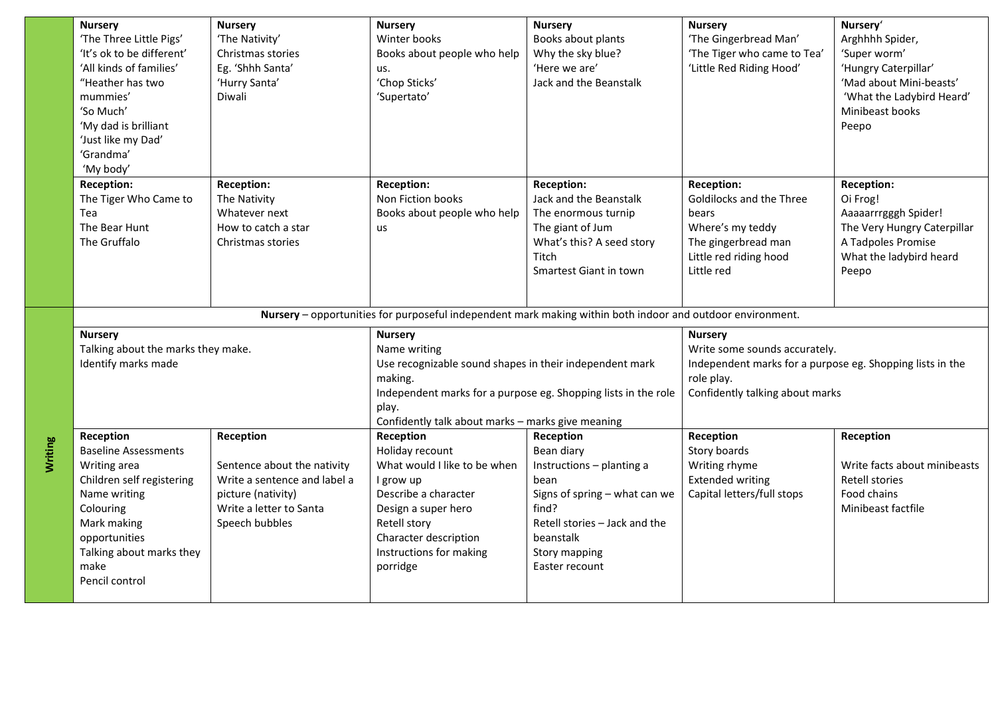| <b>Nursery</b><br>'The Three Little Pigs'<br>'It's ok to be different'<br>'All kinds of families'<br>"Heather has two<br>mummies'<br>'So Much'<br>'My dad is brilliant<br>'Just like my Dad'<br>'Grandma'<br>'My body' | <b>Nursery</b><br>'The Nativity'<br>Christmas stories<br>Eg. 'Shhh Santa'<br>'Hurry Santa'<br>Diwali                                        | <b>Nursery</b><br>Winter books<br>Books about people who help<br>us.<br>'Chop Sticks'<br>'Supertato'                                                                                                     | <b>Nursery</b><br>Books about plants<br>Why the sky blue?<br>'Here we are'<br>Jack and the Beanstalk                                                                                    | <b>Nursery</b><br>'The Gingerbread Man'<br>'The Tiger who came to Tea'<br>'Little Red Riding Hood'                                                            | Nursery'<br>Arghhhh Spider,<br>'Super worm'<br>'Hungry Caterpillar'<br>'Mad about Mini-beasts'<br>'What the Ladybird Heard'<br>Minibeast books<br>Peepo |
|------------------------------------------------------------------------------------------------------------------------------------------------------------------------------------------------------------------------|---------------------------------------------------------------------------------------------------------------------------------------------|----------------------------------------------------------------------------------------------------------------------------------------------------------------------------------------------------------|-----------------------------------------------------------------------------------------------------------------------------------------------------------------------------------------|---------------------------------------------------------------------------------------------------------------------------------------------------------------|---------------------------------------------------------------------------------------------------------------------------------------------------------|
| <b>Reception:</b><br>The Tiger Who Came to<br>Tea<br>The Bear Hunt<br>The Gruffalo                                                                                                                                     | <b>Reception:</b><br>The Nativity<br>Whatever next<br>How to catch a star<br>Christmas stories                                              | <b>Reception:</b><br>Non Fiction books<br>Books about people who help<br>us                                                                                                                              | Reception:<br>Jack and the Beanstalk<br>The enormous turnip<br>The giant of Jum<br>What's this? A seed story<br>Titch<br>Smartest Giant in town                                         | <b>Reception:</b><br>Goldilocks and the Three<br>bears<br>Where's my teddy<br>The gingerbread man<br>Little red riding hood<br>Little red                     | <b>Reception:</b><br>Oi Frog!<br>Aaaaarrrgggh Spider!<br>The Very Hungry Caterpillar<br>A Tadpoles Promise<br>What the ladybird heard<br>Peepo          |
|                                                                                                                                                                                                                        |                                                                                                                                             | Nursery - opportunities for purposeful independent mark making within both indoor and outdoor environment.                                                                                               |                                                                                                                                                                                         |                                                                                                                                                               |                                                                                                                                                         |
| <b>Nursery</b><br>Talking about the marks they make.<br>Identify marks made                                                                                                                                            |                                                                                                                                             | <b>Nursery</b><br>Name writing<br>Use recognizable sound shapes in their independent mark<br>making.<br>play.<br>Confidently talk about marks - marks give meaning                                       | Independent marks for a purpose eg. Shopping lists in the role                                                                                                                          | <b>Nursery</b><br>Write some sounds accurately.<br>Independent marks for a purpose eg. Shopping lists in the<br>role play.<br>Confidently talking about marks |                                                                                                                                                         |
| Reception<br><b>Baseline Assessments</b><br>Writing area<br>Children self registering<br>Name writing<br>Colouring<br>Mark making<br>opportunities<br>Talking about marks they<br>make<br>Pencil control               | Reception<br>Sentence about the nativity<br>Write a sentence and label a<br>picture (nativity)<br>Write a letter to Santa<br>Speech bubbles | Reception<br>Holiday recount<br>What would I like to be when<br>I grow up<br>Describe a character<br>Design a super hero<br>Retell story<br>Character description<br>Instructions for making<br>porridge | Reception<br>Bean diary<br>Instructions - planting a<br>bean<br>Signs of spring - what can we<br>find?<br>Retell stories – Jack and the<br>beanstalk<br>Story mapping<br>Easter recount | Reception<br>Story boards<br>Writing rhyme<br><b>Extended writing</b><br>Capital letters/full stops                                                           | Reception<br>Write facts about minibeasts<br>Retell stories<br>Food chains<br>Minibeast factfile                                                        |

**Writing**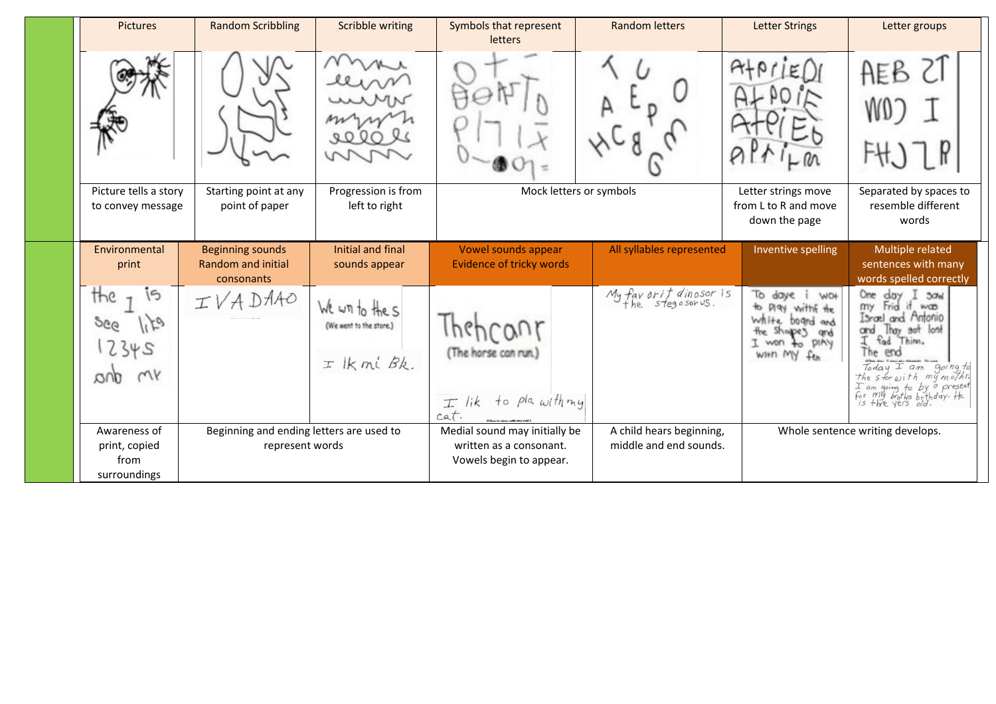| <b>Pictures</b>                                       | <b>Random Scribbling</b>                                           | <b>Scribble writing</b>                                  | Symbols that represent<br>letters                                                   | <b>Random letters</b>                              | <b>Letter Strings</b>                                                                                                                 | Letter groups                                                                                                                                                                                                                                                                                                                           |
|-------------------------------------------------------|--------------------------------------------------------------------|----------------------------------------------------------|-------------------------------------------------------------------------------------|----------------------------------------------------|---------------------------------------------------------------------------------------------------------------------------------------|-----------------------------------------------------------------------------------------------------------------------------------------------------------------------------------------------------------------------------------------------------------------------------------------------------------------------------------------|
|                                                       |                                                                    |                                                          |                                                                                     |                                                    |                                                                                                                                       | AEB                                                                                                                                                                                                                                                                                                                                     |
| Picture tells a story<br>to convey message            | Starting point at any<br>point of paper                            | Progression is from<br>left to right                     | Mock letters or symbols                                                             |                                                    | Letter strings move<br>from L to R and move<br>down the page                                                                          | Separated by spaces to<br>resemble different<br>words                                                                                                                                                                                                                                                                                   |
| Environmental<br>print                                | <b>Beginning sounds</b><br><b>Random and initial</b><br>consonants | Initial and final<br>sounds appear                       | Vowel sounds appear<br>Evidence of tricky words                                     | All syllables represented                          | Inventive spelling                                                                                                                    | Multiple related<br>sentences with many<br>words spelled correctly                                                                                                                                                                                                                                                                      |
| the<br>996<br>2345<br>mY<br>avu                       | DAAO                                                               | We win to the s<br>(We went to the store.)<br>I Ikmi Bk. | (The horse can run.)<br>to pla with my<br>$T$ lik<br>cat.                           | My favorit dinosor is<br>the stegosorus.           | To daye<br>W <sub>O</sub> +<br>play withf the<br>₩.<br><b>White</b><br>board and<br>the shapes<br>and<br>to piny<br>won<br>WHO MY feb | One<br>day<br>30 <sub>n</sub><br>Frid it was<br>my<br>Israel<br>and Antonio<br>Thay<br>sot lost<br>and<br>fad Thim.<br>end<br>he.<br>$\begin{array}{cc}\n\text{Today} & \text{I am} & \text{going to} \\ \text{The star with my mother.}\n\end{array}$<br>I am going to by a present<br>for my brothes brthday. He<br>is thre yers old. |
| Awareness of<br>print, copied<br>from<br>surroundings | Beginning and ending letters are used to<br>represent words        |                                                          | Medial sound may initially be<br>written as a consonant.<br>Vowels begin to appear. | A child hears beginning,<br>middle and end sounds. |                                                                                                                                       | Whole sentence writing develops.                                                                                                                                                                                                                                                                                                        |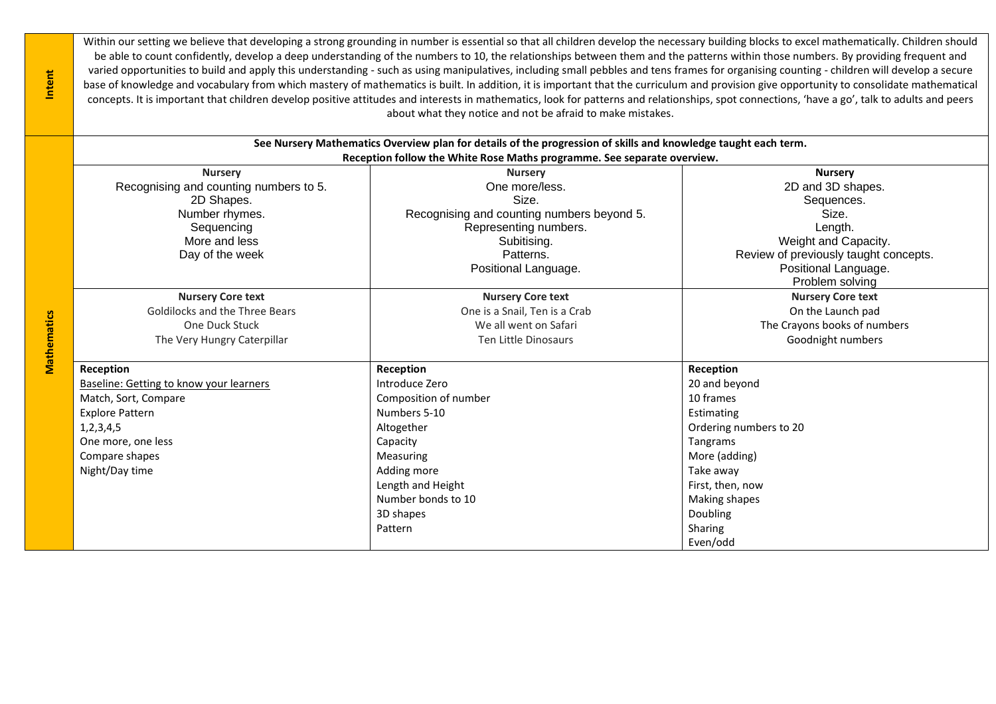Within our setting we believe that developing a strong grounding in number is essential so that all children develop the necessary building blocks to excel mathematically. Children should be able to count confidently, develop a deep understanding of the numbers to 10, the relationships between them and the patterns within those numbers. By providing frequent and varied opportunities to build and apply this understanding - such as using manipulatives, including small pebbles and tens frames for organising counting - children will develop a secure base of knowledge and vocabulary from which mastery of mathematics is built. In addition, it is important that the curriculum and provision give opportunity to consolidate mathematical concepts. It is important that children develop positive attitudes and interests in mathematics, look for patterns and relationships, spot connections, 'have a go', talk to adults and peers about what they notice and not be afraid to make mistakes.

| See Nursery Mathematics Overview plan for details of the progression of skills and knowledge taught each term. |                                         |                                                                         |                                       |  |  |  |  |  |
|----------------------------------------------------------------------------------------------------------------|-----------------------------------------|-------------------------------------------------------------------------|---------------------------------------|--|--|--|--|--|
|                                                                                                                |                                         | Reception follow the White Rose Maths programme. See separate overview. |                                       |  |  |  |  |  |
|                                                                                                                | <b>Nursery</b>                          | <b>Nursery</b>                                                          | <b>Nursery</b>                        |  |  |  |  |  |
|                                                                                                                | Recognising and counting numbers to 5.  | One more/less.                                                          | 2D and 3D shapes.                     |  |  |  |  |  |
|                                                                                                                | 2D Shapes.                              | Size.                                                                   | Sequences.                            |  |  |  |  |  |
|                                                                                                                | Number rhymes.                          | Recognising and counting numbers beyond 5.                              | Size.                                 |  |  |  |  |  |
|                                                                                                                | Sequencing                              | Representing numbers.                                                   | Length.                               |  |  |  |  |  |
|                                                                                                                | More and less                           | Subitising.                                                             | Weight and Capacity.                  |  |  |  |  |  |
|                                                                                                                | Day of the week                         | Patterns.                                                               | Review of previously taught concepts. |  |  |  |  |  |
|                                                                                                                |                                         | Positional Language.                                                    | Positional Language.                  |  |  |  |  |  |
|                                                                                                                |                                         |                                                                         | Problem solving                       |  |  |  |  |  |
|                                                                                                                | <b>Nursery Core text</b>                | <b>Nursery Core text</b>                                                | <b>Nursery Core text</b>              |  |  |  |  |  |
|                                                                                                                | Goldilocks and the Three Bears          | One is a Snail, Ten is a Crab                                           | On the Launch pad                     |  |  |  |  |  |
|                                                                                                                | One Duck Stuck                          | We all went on Safari                                                   | The Crayons books of numbers          |  |  |  |  |  |
| Mathematics                                                                                                    | The Very Hungry Caterpillar             | Ten Little Dinosaurs                                                    | Goodnight numbers                     |  |  |  |  |  |
|                                                                                                                |                                         |                                                                         |                                       |  |  |  |  |  |
|                                                                                                                | Reception                               | Reception                                                               | Reception                             |  |  |  |  |  |
|                                                                                                                | Baseline: Getting to know your learners | Introduce Zero                                                          | 20 and beyond                         |  |  |  |  |  |
|                                                                                                                | Match, Sort, Compare                    | Composition of number                                                   | 10 frames                             |  |  |  |  |  |
|                                                                                                                | <b>Explore Pattern</b>                  | Numbers 5-10                                                            | Estimating                            |  |  |  |  |  |
|                                                                                                                | 1, 2, 3, 4, 5                           | Altogether                                                              | Ordering numbers to 20                |  |  |  |  |  |
|                                                                                                                | One more, one less                      | Capacity                                                                | Tangrams                              |  |  |  |  |  |
|                                                                                                                | Compare shapes                          | <b>Measuring</b>                                                        | More (adding)                         |  |  |  |  |  |
|                                                                                                                | Night/Day time                          | Adding more                                                             | Take away                             |  |  |  |  |  |
|                                                                                                                |                                         | Length and Height                                                       | First, then, now                      |  |  |  |  |  |
|                                                                                                                |                                         | Number bonds to 10                                                      | Making shapes                         |  |  |  |  |  |
|                                                                                                                |                                         | 3D shapes                                                               | Doubling                              |  |  |  |  |  |
|                                                                                                                |                                         | Pattern                                                                 | Sharing                               |  |  |  |  |  |
|                                                                                                                |                                         |                                                                         | Even/odd                              |  |  |  |  |  |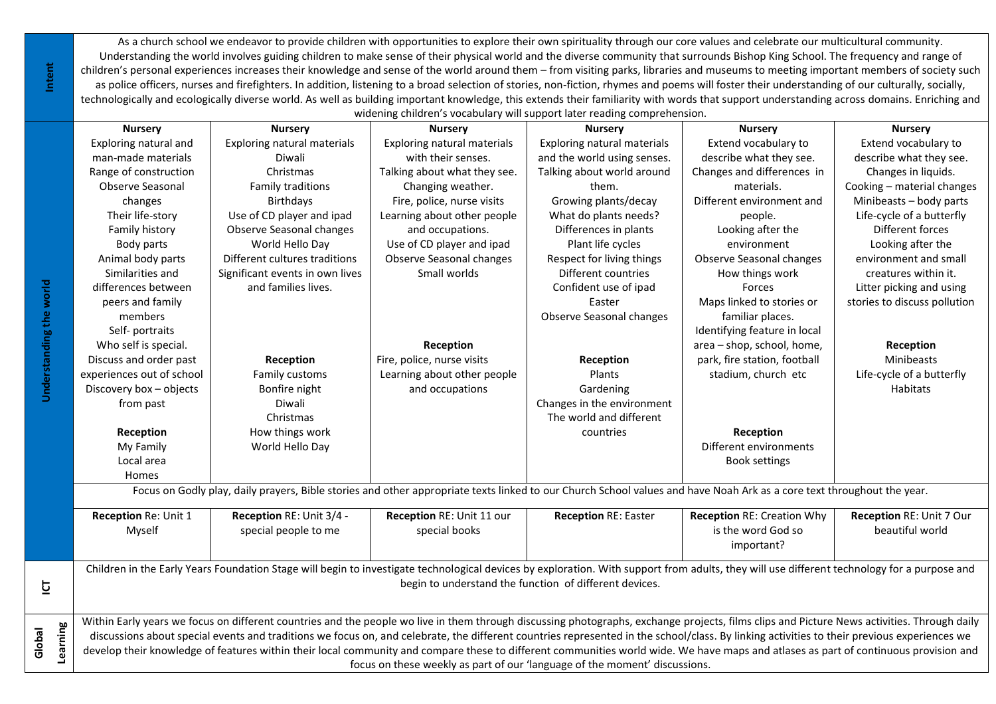As a church school we endeavor to provide children with opportunities to explore their own spirituality through our core values and celebrate our multicultural community. Understanding the world involves guiding children to make sense of their physical world and the diverse community that surrounds Bishop King School. The frequency and range of children's personal experiences increases their knowledge and sense of the world around them – from visiting parks, libraries and museums to meeting important members of society such as police officers, nurses and firefighters. In addition, listening to a broad selection of stories, non-fiction, rhymes and poems will foster their understanding of our culturally, socially, technologically and ecologically diverse world. As well as building important knowledge, this extends their familiarity with words that support understanding across domains. Enriching and widening children's vocabulary will support later reading comprehension.

|          | widerling criticit is vocabulary will support later reading comprehension. |                                                                                                                                                                                             |                              |                                                        |                                   |                              |  |  |  |
|----------|----------------------------------------------------------------------------|---------------------------------------------------------------------------------------------------------------------------------------------------------------------------------------------|------------------------------|--------------------------------------------------------|-----------------------------------|------------------------------|--|--|--|
|          | <b>Nursery</b>                                                             | <b>Nursery</b>                                                                                                                                                                              | <b>Nursery</b>               | <b>Nursery</b>                                         | <b>Nursery</b>                    | <b>Nursery</b>               |  |  |  |
|          | Exploring natural and                                                      | <b>Exploring natural materials</b>                                                                                                                                                          | Exploring natural materials  | Exploring natural materials                            | Extend vocabulary to              | Extend vocabulary to         |  |  |  |
|          | man-made materials                                                         | Diwali                                                                                                                                                                                      | with their senses.           | and the world using senses.                            | describe what they see.           | describe what they see.      |  |  |  |
|          | Range of construction                                                      | Christmas                                                                                                                                                                                   | Talking about what they see. | Talking about world around                             | Changes and differences in        | Changes in liquids.          |  |  |  |
|          | Observe Seasonal                                                           | Family traditions                                                                                                                                                                           | Changing weather.            | them.                                                  | materials.                        | Cooking - material changes   |  |  |  |
|          | changes                                                                    | Birthdays                                                                                                                                                                                   | Fire, police, nurse visits   | Growing plants/decay                                   | Different environment and         | Minibeasts - body parts      |  |  |  |
|          | Their life-story                                                           | Use of CD player and ipad                                                                                                                                                                   | Learning about other people  | What do plants needs?                                  | people.                           | Life-cycle of a butterfly    |  |  |  |
|          | Family history                                                             | Observe Seasonal changes                                                                                                                                                                    | and occupations.             | Differences in plants                                  | Looking after the                 | Different forces             |  |  |  |
|          | Body parts                                                                 | World Hello Day                                                                                                                                                                             | Use of CD player and ipad    | Plant life cycles                                      | environment                       | Looking after the            |  |  |  |
|          | Animal body parts                                                          | Different cultures traditions                                                                                                                                                               | Observe Seasonal changes     | Respect for living things                              | Observe Seasonal changes          | environment and small        |  |  |  |
|          | Similarities and                                                           | Significant events in own lives                                                                                                                                                             | Small worlds                 | Different countries                                    | How things work                   | creatures within it.         |  |  |  |
|          | differences between                                                        | and families lives.                                                                                                                                                                         |                              | Confident use of ipad                                  | Forces                            | Litter picking and using     |  |  |  |
|          | peers and family                                                           |                                                                                                                                                                                             |                              | Easter                                                 | Maps linked to stories or         | stories to discuss pollution |  |  |  |
|          | members                                                                    |                                                                                                                                                                                             |                              | Observe Seasonal changes                               | familiar places.                  |                              |  |  |  |
|          | Self- portraits                                                            |                                                                                                                                                                                             |                              |                                                        | Identifying feature in local      |                              |  |  |  |
|          | Who self is special.                                                       |                                                                                                                                                                                             | Reception                    |                                                        | area - shop, school, home,        | Reception                    |  |  |  |
|          | Discuss and order past                                                     | Reception                                                                                                                                                                                   | Fire, police, nurse visits   | Reception                                              | park, fire station, football      | Minibeasts                   |  |  |  |
|          | experiences out of school                                                  | Family customs                                                                                                                                                                              | Learning about other people  | Plants                                                 | stadium, church etc               | Life-cycle of a butterfly    |  |  |  |
|          | Discovery box - objects                                                    | Bonfire night                                                                                                                                                                               | and occupations              | Gardening                                              |                                   | Habitats                     |  |  |  |
|          | from past                                                                  | Diwali                                                                                                                                                                                      |                              | Changes in the environment                             |                                   |                              |  |  |  |
|          |                                                                            | Christmas                                                                                                                                                                                   |                              | The world and different                                |                                   |                              |  |  |  |
|          | Reception                                                                  | How things work                                                                                                                                                                             |                              | countries                                              | Reception                         |                              |  |  |  |
|          | My Family                                                                  | World Hello Day                                                                                                                                                                             |                              |                                                        | Different environments            |                              |  |  |  |
|          | Local area                                                                 |                                                                                                                                                                                             |                              |                                                        | <b>Book settings</b>              |                              |  |  |  |
|          | Homes                                                                      |                                                                                                                                                                                             |                              |                                                        |                                   |                              |  |  |  |
|          |                                                                            | Focus on Godly play, daily prayers, Bible stories and other appropriate texts linked to our Church School values and have Noah Ark as a core text throughout the year.                      |                              |                                                        |                                   |                              |  |  |  |
|          | Reception Re: Unit 1                                                       | Reception RE: Unit 3/4 -                                                                                                                                                                    | Reception RE: Unit 11 our    | <b>Reception RE: Easter</b>                            | <b>Reception RE: Creation Why</b> | Reception RE: Unit 7 Our     |  |  |  |
|          | Myself                                                                     | special people to me                                                                                                                                                                        | special books                |                                                        | is the word God so                | beautiful world              |  |  |  |
|          |                                                                            |                                                                                                                                                                                             |                              |                                                        | important?                        |                              |  |  |  |
|          |                                                                            | Children in the Early Years Foundation Stage will begin to investigate technological devices by exploration. With support from adults, they will use different technology for a purpose and |                              |                                                        |                                   |                              |  |  |  |
|          |                                                                            |                                                                                                                                                                                             |                              | begin to understand the function of different devices. |                                   |                              |  |  |  |
|          |                                                                            |                                                                                                                                                                                             |                              |                                                        |                                   |                              |  |  |  |
|          |                                                                            | Within Early years we focus on different countries and the people wo live in them through discussing photographs, exchange projects, films clips and Picture News activities. Through daily |                              |                                                        |                                   |                              |  |  |  |
|          |                                                                            | discussions about special events and traditions we focus on, and celebrate, the different countries represented in the school/class. By linking activities to their previous experiences we |                              |                                                        |                                   |                              |  |  |  |
| Learning |                                                                            | develop their knowledge of features within their local community and compare these to different communities world wide. We have maps and atlases as part of continuous provision and        |                              |                                                        |                                   |                              |  |  |  |
|          |                                                                            |                                                                                                                                                                                             |                              |                                                        |                                   |                              |  |  |  |
|          | focus on these weekly as part of our 'language of the moment' discussions. |                                                                                                                                                                                             |                              |                                                        |                                   |                              |  |  |  |

**Understanding the world**

Understanding the world

**ICT**

**Global**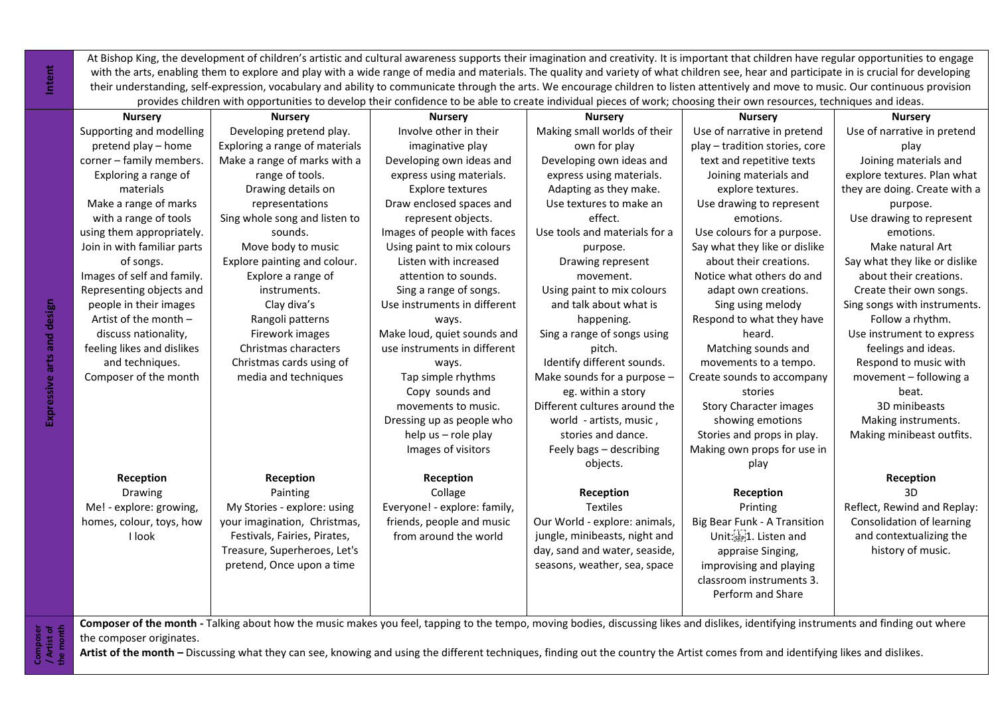At Bishop King, the development of children's artistic and cultural awareness supports their imagination and creativity. It is important that children have regular opportunities to engage with the arts, enabling them to explore and play with a wide range of media and materials. The quality and variety of what children see, hear and participate in is crucial for developing their understanding, self-expression, vocabulary and ability to communicate through the arts. We encourage children to listen attentively and move to music. Our continuous provision provides children with opportunities to develop their confidence to be able to create individual pieces of work; choosing their own resources, techniques and ideas.

|                            |                                                                                                                                                                                                                   | provides critiquent with opportunities to develop their connuence to be able to create individual pieces or work, choosing their own resources, techniques and ideas. |                              |                               |                                                    |                               |  |
|----------------------------|-------------------------------------------------------------------------------------------------------------------------------------------------------------------------------------------------------------------|-----------------------------------------------------------------------------------------------------------------------------------------------------------------------|------------------------------|-------------------------------|----------------------------------------------------|-------------------------------|--|
|                            | <b>Nursery</b>                                                                                                                                                                                                    | <b>Nursery</b>                                                                                                                                                        | <b>Nursery</b>               | <b>Nursery</b>                | <b>Nursery</b>                                     | <b>Nursery</b>                |  |
|                            | Supporting and modelling                                                                                                                                                                                          | Developing pretend play.                                                                                                                                              | Involve other in their       | Making small worlds of their  | Use of narrative in pretend                        | Use of narrative in pretend   |  |
|                            | pretend play - home                                                                                                                                                                                               | Exploring a range of materials                                                                                                                                        | imaginative play             | own for play                  | play - tradition stories, core                     | play                          |  |
|                            | corner - family members.                                                                                                                                                                                          | Make a range of marks with a                                                                                                                                          | Developing own ideas and     | Developing own ideas and      | text and repetitive texts                          | Joining materials and         |  |
|                            | Exploring a range of                                                                                                                                                                                              | range of tools.                                                                                                                                                       | express using materials.     | express using materials.      | Joining materials and                              | explore textures. Plan what   |  |
|                            | materials                                                                                                                                                                                                         | Drawing details on                                                                                                                                                    | <b>Explore textures</b>      | Adapting as they make.        | explore textures.                                  | they are doing. Create with a |  |
|                            | Make a range of marks                                                                                                                                                                                             | representations                                                                                                                                                       | Draw enclosed spaces and     | Use textures to make an       | Use drawing to represent                           | purpose.                      |  |
|                            | with a range of tools                                                                                                                                                                                             | Sing whole song and listen to                                                                                                                                         | represent objects.           | effect.                       | emotions.                                          | Use drawing to represent      |  |
|                            | using them appropriately.                                                                                                                                                                                         | sounds.                                                                                                                                                               | Images of people with faces  | Use tools and materials for a | Use colours for a purpose.                         | emotions.                     |  |
|                            | Join in with familiar parts                                                                                                                                                                                       | Move body to music                                                                                                                                                    | Using paint to mix colours   | purpose.                      | Say what they like or dislike                      | Make natural Art              |  |
|                            | of songs.                                                                                                                                                                                                         | Explore painting and colour.                                                                                                                                          | Listen with increased        | Drawing represent             | about their creations.                             | Say what they like or dislike |  |
|                            | Images of self and family.                                                                                                                                                                                        | Explore a range of                                                                                                                                                    | attention to sounds.         | movement.                     | Notice what others do and                          | about their creations.        |  |
| Expressive arts and design | Representing objects and                                                                                                                                                                                          | instruments.                                                                                                                                                          | Sing a range of songs.       | Using paint to mix colours    | adapt own creations.                               | Create their own songs.       |  |
|                            | people in their images                                                                                                                                                                                            | Clay diva's                                                                                                                                                           | Use instruments in different | and talk about what is        | Sing using melody                                  | Sing songs with instruments.  |  |
|                            | Artist of the month -                                                                                                                                                                                             | Rangoli patterns                                                                                                                                                      | ways.                        | happening.                    | Respond to what they have                          | Follow a rhythm.              |  |
|                            | discuss nationality,                                                                                                                                                                                              | Firework images                                                                                                                                                       | Make loud, quiet sounds and  | Sing a range of songs using   | heard.                                             | Use instrument to express     |  |
|                            | feeling likes and dislikes                                                                                                                                                                                        | Christmas characters                                                                                                                                                  | use instruments in different | pitch.                        | Matching sounds and                                | feelings and ideas.           |  |
|                            | and techniques.                                                                                                                                                                                                   | Christmas cards using of                                                                                                                                              | ways.                        | Identify different sounds.    | movements to a tempo.                              | Respond to music with         |  |
|                            | Composer of the month                                                                                                                                                                                             | media and techniques                                                                                                                                                  | Tap simple rhythms           | Make sounds for a purpose -   | Create sounds to accompany                         | movement - following a        |  |
|                            |                                                                                                                                                                                                                   |                                                                                                                                                                       | Copy sounds and              | eg. within a story            | stories                                            | beat.                         |  |
|                            |                                                                                                                                                                                                                   |                                                                                                                                                                       | movements to music.          | Different cultures around the | Story Character images                             | 3D minibeasts                 |  |
|                            |                                                                                                                                                                                                                   |                                                                                                                                                                       | Dressing up as people who    | world - artists, music,       | showing emotions                                   | Making instruments.           |  |
|                            |                                                                                                                                                                                                                   |                                                                                                                                                                       | help us - role play          | stories and dance.            | Stories and props in play.                         | Making minibeast outfits.     |  |
|                            |                                                                                                                                                                                                                   |                                                                                                                                                                       | Images of visitors           | Feely bags - describing       | Making own props for use in                        |                               |  |
|                            |                                                                                                                                                                                                                   |                                                                                                                                                                       |                              | objects.                      | play                                               |                               |  |
|                            | Reception                                                                                                                                                                                                         | Reception                                                                                                                                                             | Reception                    |                               |                                                    | Reception                     |  |
|                            | Drawing                                                                                                                                                                                                           | Painting                                                                                                                                                              | Collage                      | Reception                     | Reception                                          | 3D                            |  |
|                            | Me! - explore: growing,                                                                                                                                                                                           | My Stories - explore: using                                                                                                                                           | Everyone! - explore: family, | <b>Textiles</b>               | Printing                                           | Reflect, Rewind and Replay:   |  |
|                            | homes, colour, toys, how                                                                                                                                                                                          | your imagination, Christmas,                                                                                                                                          | friends, people and music    | Our World - explore: animals, | <b>Big Bear Funk - A Transition</b>                | Consolidation of learning     |  |
|                            | <b>I</b> look                                                                                                                                                                                                     | Festivals, Fairies, Pirates,                                                                                                                                          | from around the world        | jungle, minibeasts, night and | Unit: <sup>17</sup> <sub>15EP</sub> :1. Listen and | and contextualizing the       |  |
|                            |                                                                                                                                                                                                                   | Treasure, Superheroes, Let's                                                                                                                                          |                              | day, sand and water, seaside, | appraise Singing,                                  | history of music.             |  |
|                            |                                                                                                                                                                                                                   | pretend, Once upon a time                                                                                                                                             |                              | seasons, weather, sea, space  | improvising and playing                            |                               |  |
|                            |                                                                                                                                                                                                                   |                                                                                                                                                                       |                              |                               | classroom instruments 3.                           |                               |  |
|                            |                                                                                                                                                                                                                   |                                                                                                                                                                       |                              |                               | Perform and Share                                  |                               |  |
|                            |                                                                                                                                                                                                                   |                                                                                                                                                                       |                              |                               |                                                    |                               |  |
|                            | Composer of the month - Talking about how the music makes you feel, tapping to the tempo, moving bodies, discussing likes and dislikes, identifying instruments and finding out where<br>the composer originates. |                                                                                                                                                                       |                              |                               |                                                    |                               |  |
| Artist                     | Artist of the month - Discussing what they can see, knowing and using the different techniques, finding out the country the Artist comes from and identifying likes and dislikes.                                 |                                                                                                                                                                       |                              |                               |                                                    |                               |  |
|                            |                                                                                                                                                                                                                   |                                                                                                                                                                       |                              |                               |                                                    |                               |  |

**Intent**

**Composer**